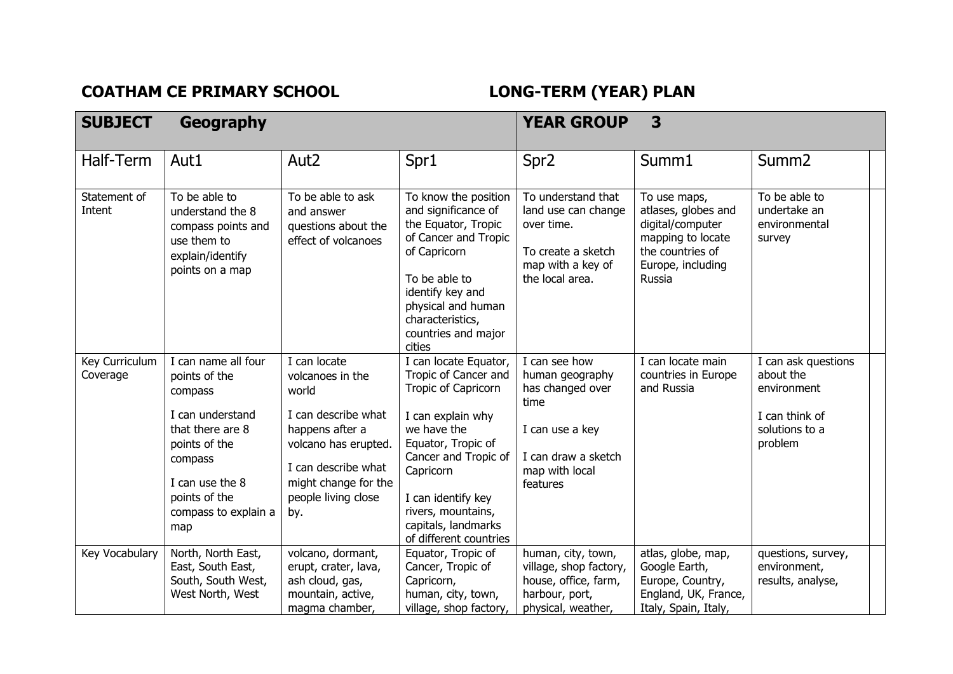## COATHAM CE PRIMARY SCHOOL **LONG-TERM** (YEAR) PLAN

| <b>SUBJECT</b>             | Geography                                                                                                                                                                              |                                                                                                                                                                                          |                                                                                                                                                                                                                                                                  | <b>YEAR GROUP</b>                                                                                                                    | 3                                                                                                                               |                                                                                                |
|----------------------------|----------------------------------------------------------------------------------------------------------------------------------------------------------------------------------------|------------------------------------------------------------------------------------------------------------------------------------------------------------------------------------------|------------------------------------------------------------------------------------------------------------------------------------------------------------------------------------------------------------------------------------------------------------------|--------------------------------------------------------------------------------------------------------------------------------------|---------------------------------------------------------------------------------------------------------------------------------|------------------------------------------------------------------------------------------------|
| Half-Term                  | Aut1                                                                                                                                                                                   | Aut <sub>2</sub>                                                                                                                                                                         | Spr1                                                                                                                                                                                                                                                             | Spr <sub>2</sub>                                                                                                                     | Summ1                                                                                                                           | Summ <sub>2</sub>                                                                              |
| Statement of<br>Intent     | To be able to<br>understand the 8<br>compass points and<br>use them to<br>explain/identify<br>points on a map                                                                          | To be able to ask<br>and answer<br>questions about the<br>effect of volcanoes                                                                                                            | To know the position<br>and significance of<br>the Equator, Tropic<br>of Cancer and Tropic<br>of Capricorn<br>To be able to<br>identify key and<br>physical and human<br>characteristics,<br>countries and major<br>cities                                       | To understand that<br>land use can change<br>over time.<br>To create a sketch<br>map with a key of<br>the local area.                | To use maps,<br>atlases, globes and<br>digital/computer<br>mapping to locate<br>the countries of<br>Europe, including<br>Russia | To be able to<br>undertake an<br>environmental<br>survey                                       |
| Key Curriculum<br>Coverage | I can name all four<br>points of the<br>compass<br>I can understand<br>that there are 8<br>points of the<br>compass<br>I can use the 8<br>points of the<br>compass to explain a<br>map | I can locate<br>volcanoes in the<br>world<br>I can describe what<br>happens after a<br>volcano has erupted.<br>I can describe what<br>might change for the<br>people living close<br>by. | I can locate Equator,<br>Tropic of Cancer and<br>Tropic of Capricorn<br>I can explain why<br>we have the<br>Equator, Tropic of<br>Cancer and Tropic of<br>Capricorn<br>I can identify key<br>rivers, mountains,<br>capitals, landmarks<br>of different countries | I can see how<br>human geography<br>has changed over<br>time<br>I can use a key<br>I can draw a sketch<br>map with local<br>features | I can locate main<br>countries in Europe<br>and Russia                                                                          | I can ask questions<br>about the<br>environment<br>I can think of<br>solutions to a<br>problem |
| Key Vocabulary             | North, North East,<br>East, South East,<br>South, South West,<br>West North, West                                                                                                      | volcano, dormant,<br>erupt, crater, lava,<br>ash cloud, gas,<br>mountain, active,<br>magma chamber,                                                                                      | Equator, Tropic of<br>Cancer, Tropic of<br>Capricorn,<br>human, city, town,<br>village, shop factory,                                                                                                                                                            | human, city, town,<br>village, shop factory,<br>house, office, farm,<br>harbour, port,<br>physical, weather,                         | atlas, globe, map,<br>Google Earth,<br>Europe, Country,<br>England, UK, France,<br>Italy, Spain, Italy,                         | questions, survey,<br>environment,<br>results, analyse,                                        |